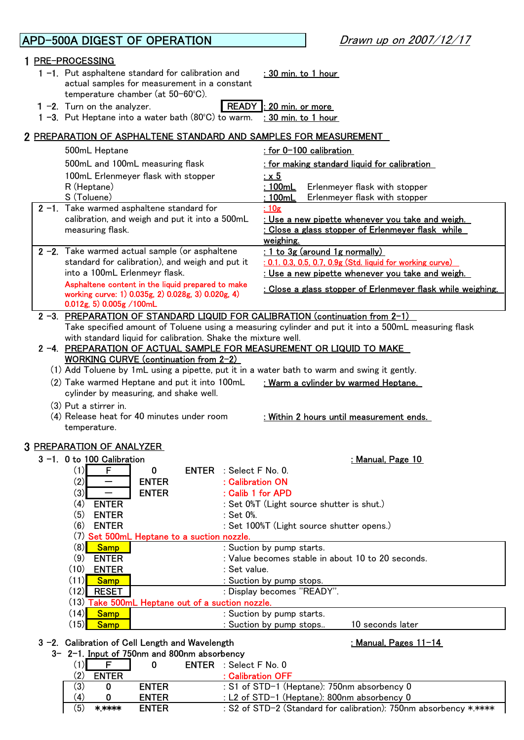## APD-500A DIGEST OF OPERATION 1 PRE-PROCESSING 1 -1. Put asphaltene standard for calibration and : 30 min. to 1 hour 1 −2. Turn on the analyzer. READY : 20 min. or more 1 -3. Put Heptane into a water bath  $(80^{\circ}C)$  to warm. : 30 min. to 1 hour 2 PREPARATION OF ASPHALTENE STANDARD AND SAMPLES FOR MEASUREMENT 500mL Heptane : for 0-100 calibration 500mL and 100mL measuring flask : for making standard liquid for calibration 100mL Erlenmeyer flask with stopper  $\cdot x 5$ R (Heptane) **: 100mL** Erlenmeyer flask with stopper S (Toluene) : 100mL Erlenmeyer flask with stopper **2 −1.** Take warmed asphaltene standard for the standard <u>: 10</u>g : Use a new pipette whenever you take and weigh. 2 -2. Take warmed actual sample (or asphaltene : 1 to 3g (around 1g normally) : 0.1. 0.3, 0.5, 0.7, 0.9g (Std. liquid for working curve) : Use a new pipette whenever you take and weigh. 2 -3. PREPARATION OF STANDARD LIQUID FOR CALIBRATION (continuation from 2-1) Take specified amount of Toluene using a measuring cylinder and put it into a 500mL measuring flask with standard liquid for calibration. Shake the mixture well. 2 -4. PREPARATION OF ACTUAL SAMPLE FOR MEASUREMENT OR LIQUID TO MAKE WORKING CURVE (continuation from 2-2) (1) Add Toluene by 1mL using a pipette, put it in a water bath to warm and swing it gently. (2) Take warmed Heptane and put it into 100mL : Warm a cylinder by warmed Heptane. (3) Put a stirrer in. : Within 2 hours until measurement ends. 3 PREPARATION OF ANALYZER3 -1. 0 to 100 Calibration : Manual, Page 10  $(1)$  F  $\parallel$  0 ENTER : Select F No. 0.  $(2)$  - ENTER : Calibration ON  $(3)$  - ENTER : Calib 1 for APD (4) **ENTER** : Set 0%T (Light source shutter is shut.) (5) **ENTER** : Set 0%. (6) **ENTER** : Set 100%T (Light source shutter opens.) (7) Set 500mL Heptane to a suction nozzle.<br>(8) Samp |  $(8)$  Samp  $(8)$  Samp  $(8)$  Suction by pump starts.  $(9)$  **ENTER** : Value becomes stable in about 10 to 20 seconds. (10) **ENTER** : Set value.  $(11)$  Samp  $\blacksquare$  : Suction by pump stops.  $(12)$  RESET  $\qquad \qquad$  : Display becomes "READY". (13) Take 500mL Heptane out of a suction nozzle.  $(14)$  Samp  $(14)$  Samp  $\cdot$  Suction by pump starts.  $(15)$  Samp  $\blacksquare$  : Suction by pump stops..  $\blacksquare$  10 seconds later 3 -2. Calibration of Cell Length and Wavelength in the state of the state of the Shanual, Pages 11-14  $3-2-1$ . Input of 750nm and 800nm absorbency  $(1)$   $(1)$   $(1)$   $(1)$   $(1)$   $(1)$   $(1)$ standard for calibration), and weigh and put it into a 100mL Erlenmeyr flask. cylinder by measuring, and shake well. Asphaltene content in the liquid prepared to make working curve: 1) 0.035g, 2) 0.028g, 3) 0.020g, 4) 0.012g, 5) 0.005g /100mL calibration, and weigh and put it into a 500mL measuring flask. (4) Release heat for 40 minutes under room temperature. : Close a glass stopper of Erlenmeyer flask while weighing. : Close a glass stopper of Erlenmeyer flask while weighing. Drawn up on 2007/12/17 actual samples for measurement in a constant temperature chamber (at 50-60ºC).

|     |              | v            | <b>ENIER</b> . OCICLE NO. U                                      |
|-----|--------------|--------------|------------------------------------------------------------------|
| (2) | <b>ENTER</b> |              | $:$ Calibration OFF                                              |
| (3) |              | <b>ENTER</b> | : S1 of STD-1 (Heptane): 750nm absorbency 0                      |
| (4) |              | <b>ENTER</b> | : L2 of STD-1 (Heptane): 800nm absorbency 0                      |
| (5) | *****        | <b>ENTER</b> | : S2 of STD-2 (Standard for calibration): 750nm absorbency ***** |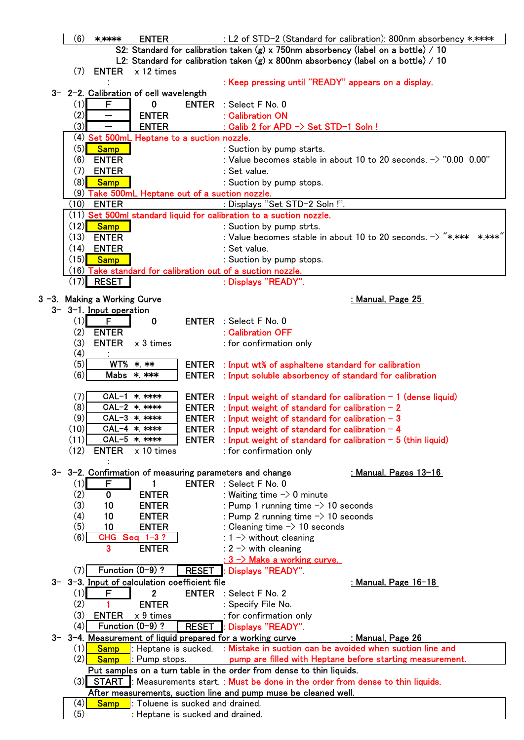|  | (6)        | $****$                       | <b>ENTER</b>                                                         |              | : L2 of STD-2 (Standard for calibration): 800nm absorbency *.****                  |
|--|------------|------------------------------|----------------------------------------------------------------------|--------------|------------------------------------------------------------------------------------|
|  |            |                              |                                                                      |              | S2: Standard for calibration taken (g) x 750nm absorbency (label on a bottle) / 10 |
|  |            |                              |                                                                      |              | L2: Standard for calibration taken (g) x 800nm absorbency (label on a bottle) / 10 |
|  | (7)        | <b>ENTER</b>                 | x 12 times                                                           |              |                                                                                    |
|  |            |                              |                                                                      |              | : Keep pressing until "READY" appears on a display.                                |
|  |            |                              | 3- 2-2. Calibration of cell wavelength                               |              |                                                                                    |
|  | (1)        | F                            | 0                                                                    | <b>ENTER</b> | : Select F No. 0                                                                   |
|  | (2)        | $\overline{\phantom{0}}$     | <b>ENTER</b>                                                         |              | : Calibration ON                                                                   |
|  | (3)        | —                            | <b>ENTER</b>                                                         |              | : Calib 2 for APD -> Set STD-1 Soln !                                              |
|  |            |                              | (4) Set 500mL Heptane to a suction nozzle.                           |              |                                                                                    |
|  | (5)        | <b>Samp</b>                  |                                                                      |              | : Suction by pump starts.                                                          |
|  | (6)        | <b>ENTER</b>                 |                                                                      |              | : Value becomes stable in about 10 to 20 seconds. $\rightarrow$ "0.00 0.00"        |
|  | (7)        | <b>ENTER</b>                 |                                                                      |              | : Set value.                                                                       |
|  | (8)        | <b>Samp</b>                  |                                                                      |              | : Suction by pump stops.                                                           |
|  | (9)        |                              | ake 500mL Heptane out of a suction nozzle.                           |              |                                                                                    |
|  | (10)       | <b>ENTER</b>                 |                                                                      |              | : Displays "Set STD-2 Soln !".                                                     |
|  |            |                              |                                                                      |              | (11) Set 500ml standard liquid for calibration to a suction nozzle.                |
|  | (12)       | <b>Samp</b>                  |                                                                      |              | : Suction by pump strts.                                                           |
|  | (13)       | <b>ENTER</b>                 |                                                                      |              | : Value becomes stable in about 10 to 20 seconds. $\rightarrow$ "**** ****"        |
|  | (14)       | <b>ENTER</b>                 |                                                                      |              | : Set value.                                                                       |
|  | (15)       | <b>Samp</b>                  |                                                                      |              | : Suction by pump stops.                                                           |
|  |            |                              |                                                                      |              | (16) Take standard for calibration out of a suction nozzle.                        |
|  | (17)       | <b>RESET</b>                 |                                                                      |              | : Displays "READY".                                                                |
|  |            | 3 -3. Making a Working Curve |                                                                      |              | : Manual, Page 25                                                                  |
|  |            | $3-3-1$ . Input operation    |                                                                      |              |                                                                                    |
|  | (1)        | F                            | 0                                                                    | <b>ENTER</b> | : Select F No. 0                                                                   |
|  | (2)        | <b>ENTER</b>                 |                                                                      |              | : Calibration OFF                                                                  |
|  | (3)        | <b>ENTER</b>                 | x 3 times                                                            |              | : for confirmation only                                                            |
|  | (4)        |                              |                                                                      |              |                                                                                    |
|  | (5)        | WT%                          | $*$ $**$                                                             | <b>ENTER</b> | : Input wt% of asphaltene standard for calibration                                 |
|  | (6)        |                              | Mabs * ***                                                           | <b>ENTER</b> | : Input soluble absorbency of standard for calibration                             |
|  |            |                              |                                                                      |              |                                                                                    |
|  | (7)        |                              | CAL-1 * ****                                                         | <b>ENTER</b> | : Input weight of standard for calibration $-1$ (dense liquid)                     |
|  | (8)        |                              | CAL-2 * ****                                                         | <b>ENTER</b> | : Input weight of standard for calibration $-2$                                    |
|  | (9)        |                              | CAL-3 * ****                                                         | <b>ENTER</b> | : Input weight of standard for calibration $-3$                                    |
|  | (10)       |                              | CAL-4 * ****                                                         |              | ENTER : Input weight of standard for calibration $-4$                              |
|  | (11)       |                              | CAL-5 * ****                                                         | <b>ENTER</b> | : Input weight of standard for calibration $-5$ (thin liquid)                      |
|  | (12)       | <b>ENTER</b>                 | x 10 times                                                           |              | : for confirmation only                                                            |
|  |            |                              |                                                                      |              | 3- 3-2. Confirmation of measuring parameters and change<br>: Manual, Pages $13-16$ |
|  | (1)        | F                            |                                                                      | <b>ENTER</b> | : Select F No. 0                                                                   |
|  | (2)        | $\mathbf 0$                  | <b>ENTER</b>                                                         |              | : Waiting time $\rightarrow$ 0 minute                                              |
|  | (3)        | 10                           | <b>ENTER</b>                                                         |              | : Pump 1 running time $\rightarrow$ 10 seconds                                     |
|  | (4)        | 10                           | <b>ENTER</b>                                                         |              | : Pump 2 running time $\rightarrow$ 10 seconds                                     |
|  | (5)        | 10                           | <b>ENTER</b>                                                         |              | : Cleaning time $\rightarrow$ 10 seconds                                           |
|  | (6)        |                              | CHG Seq 1-3?                                                         |              | : $1 \rightarrow$ without cleaning                                                 |
|  |            | 3                            | <b>ENTER</b>                                                         |              | : $2 \rightarrow$ with cleaning                                                    |
|  |            |                              |                                                                      |              |                                                                                    |
|  | (7)        |                              | Function $(0-9)$ ?                                                   | <b>RESET</b> | Displays "READY".                                                                  |
|  |            |                              | 3- 3-3. Input of calculation coefficient file                        |              | <u>: Manual, Page 16-18</u>                                                        |
|  | (1)        | F                            | 2                                                                    | <b>ENTER</b> | : Select F No. 2                                                                   |
|  | (2)        |                              | <b>ENTER</b>                                                         |              | : Specify File No.                                                                 |
|  | (3)        | <b>ENTER</b>                 | x 9 times                                                            |              | : for confirmation only                                                            |
|  |            |                              |                                                                      | <b>RESET</b> | : Displays "READY".                                                                |
|  | (4)        |                              | Function $(0-9)$ ?                                                   |              |                                                                                    |
|  |            |                              |                                                                      |              | 3- 3-4. Measurement of liquid prepared for a working curve<br>: Manual, Page 26    |
|  | (1)        | <b>Samp</b>                  | : Heptane is sucked.                                                 |              | : Mistake in suction can be avoided when suction line and                          |
|  | (2)        | <b>Samp</b>                  | : Pump stops.                                                        |              | pump are filled with Heptane before starting measurement.                          |
|  |            |                              |                                                                      |              | Put samples on a turn table in the order from dense to thin liquids.               |
|  |            | $(3)$ START                  |                                                                      |              | : Measurements start. : Must be done in the order from dense to thin liquids.      |
|  |            |                              |                                                                      |              | After measurements, suction line and pump muse be cleaned well.                    |
|  | (4)<br>(5) | <b>Samp</b>                  | : Toluene is sucked and drained.<br>: Heptane is sucked and drained. |              |                                                                                    |